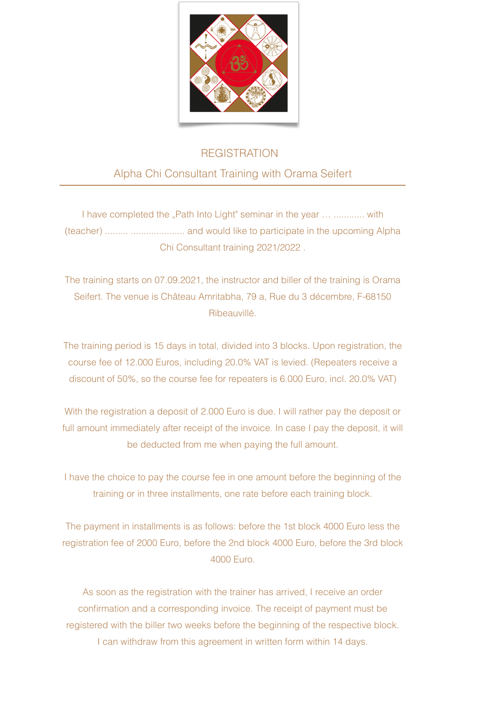

## **REGISTRATION**

## Alpha Chi Consultant Training with Orama Seifert

I have completed the "Path Into Light" seminar in the year ... ............ with (teacher) ......... ..................... and would like to participate in the upcoming Alpha Chi Consultant training 2021/2022 .

The training starts on 07.09.2021, the instructor and biller of the training is Orama Seifert. The venue is Château Amritabha, 79 a, Rue du 3 décembre, F-68150 Ribeauvillé.

The training period is 15 days in total, divided into 3 blocks. Upon registration, the course fee of 12.000 Euros, including 20.0% VAT is levied. (Repeaters receive a discount of 50%, so the course fee for repeaters is 6.000 Euro, incl. 20.0% VAT)

With the registration a deposit of 2.000 Euro is due. I will rather pay the deposit or full amount immediately after receipt of the invoice. In case I pay the deposit, it will be deducted from me when paying the full amount.

I have the choice to pay the course fee in one amount before the beginning of the training or in three installments, one rate before each training block.

The payment in installments is as follows: before the 1st block 4000 Euro less the registration fee of 2000 Euro, before the 2nd block 4000 Euro, before the 3rd block 4000 Euro.

As soon as the registration with the trainer has arrived, I receive an order confirmation and a corresponding invoice. The receipt of payment must be registered with the biller two weeks before the beginning of the respective block. I can withdraw from this agreement in written form within 14 days.